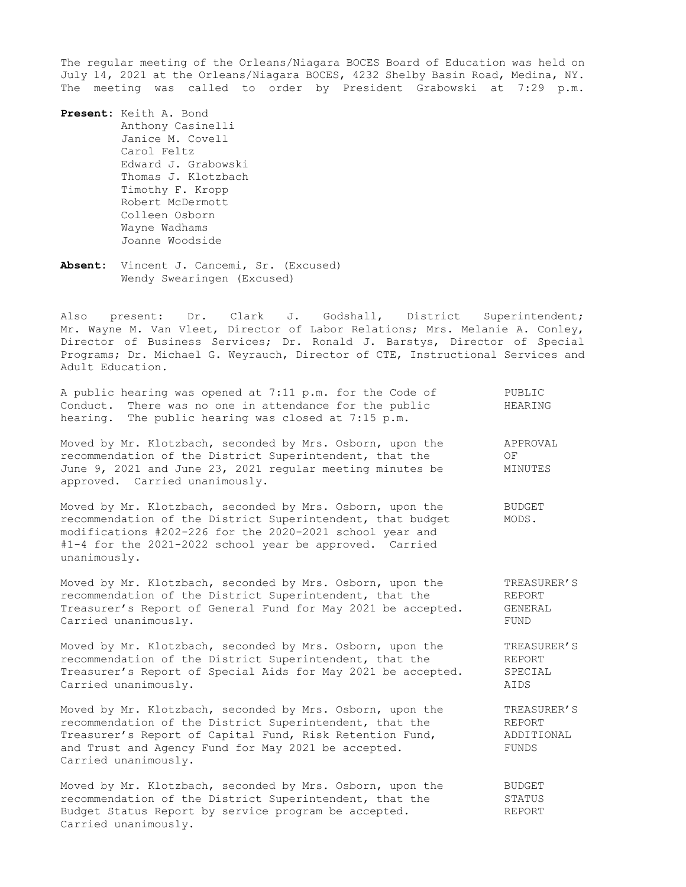The regular meeting of the Orleans/Niagara BOCES Board of Education was held on July 14, 2021 at the Orleans/Niagara BOCES, 4232 Shelby Basin Road, Medina, NY. The meeting was called to order by President Grabowski at 7:29 p.m.

**Present:** Keith A. Bond Anthony Casinelli Janice M. Covell Carol Feltz Edward J. Grabowski Thomas J. Klotzbach Timothy F. Kropp Robert McDermott Colleen Osborn Wayne Wadhams Joanne Woodside

**Absent:** Vincent J. Cancemi, Sr. (Excused) Wendy Swearingen (Excused)

Also present: Dr. Clark J. Godshall, District Superintendent; Mr. Wayne M. Van Vleet, Director of Labor Relations; Mrs. Melanie A. Conley, Director of Business Services; Dr. Ronald J. Barstys, Director of Special Programs; Dr. Michael G. Weyrauch, Director of CTE, Instructional Services and Adult Education.

| A public hearing was opened at 7:11 p.m. for the Code of<br>Conduct. There was no one in attendance for the public<br>hearing. The public hearing was closed at 7:15 p.m.                                                                                        | PUBLIC<br>HEARING         |
|------------------------------------------------------------------------------------------------------------------------------------------------------------------------------------------------------------------------------------------------------------------|---------------------------|
| Moved by Mr. Klotzbach, seconded by Mrs. Osborn, upon the<br>recommendation of the District Superintendent, that the<br>June 9, 2021 and June 23, 2021 regular meeting minutes be<br>approved. Carried unanimously.                                              | APPROVAL<br>OF<br>MINUTES |
| Moved by Mr. Klotzbach, seconded by Mrs. Osborn, upon the<br>recommendation of the District Superintendent, that budget<br>modifications #202-226 for the 2020-2021 school year and<br>$#1-4$ for the 2021-2022 school year be approved. Carried<br>unanimously. | BUDGET<br>MODS.           |
| Moved by Mr. Klotzbach, seconded by Mrs. Osborn, upon the                                                                                                                                                                                                        | TREASURER'S               |

recommendation of the District Superintendent, that the REPORT Treasurer's Report of General Fund for May 2021 be accepted. GENERAL Carried unanimously. The contract of the contract of the contract of the contract of the contract of the contract of the contract of the contract of the contract of the contract of the contract of the contract of the contr

Moved by Mr. Klotzbach, seconded by Mrs. Osborn, upon the TREASURER'S recommendation of the District Superintendent, that the REPORT Treasurer's Report of Special Aids for May 2021 be accepted. SPECIAL Carried unanimously. AIDS

Moved by Mr. Klotzbach, seconded by Mrs. Osborn, upon the TREASURER'S<br>recommendation of the District Superintendent, that the REPORT recommendation of the District Superintendent, that the Treasurer's Report of Capital Fund, Risk Retention Fund, ADDITIONAL and Trust and Agency Fund for May 2021 be accepted. FUNDS Carried unanimously.

Moved by Mr. Klotzbach, seconded by Mrs. Osborn, upon the BUDGET recommendation of the District Superintendent, that the STATUS Budget Status Report by service program be accepted. REPORT Carried unanimously.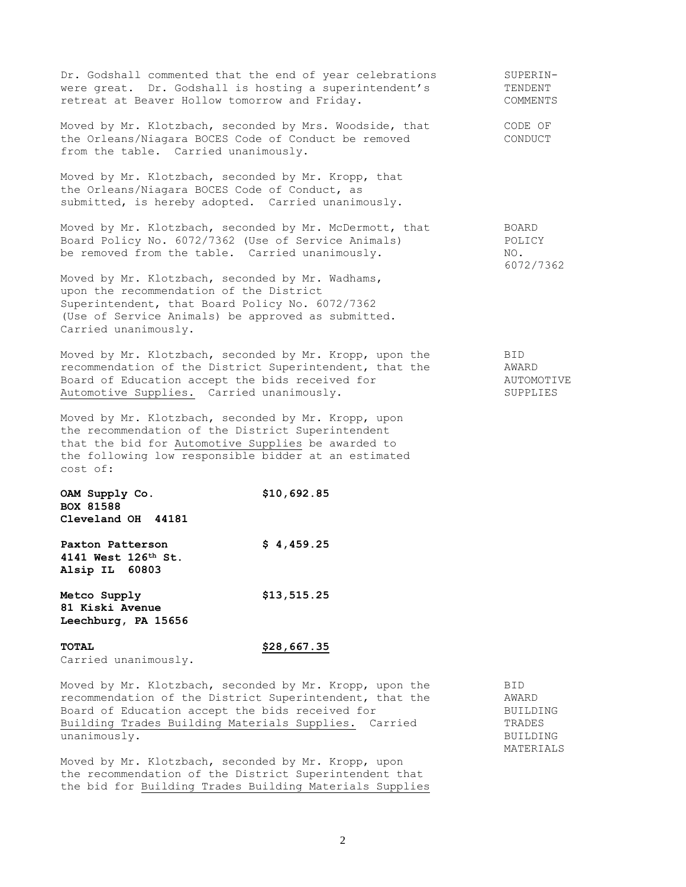| Dr. Godshall commented that the end of year celebrations<br>were great. Dr. Godshall is hosting a superintendent's<br>retreat at Beaver Hollow tomorrow and Friday.                                                                |             | SUPERIN-<br>TENDENT<br>COMMENTS        |
|------------------------------------------------------------------------------------------------------------------------------------------------------------------------------------------------------------------------------------|-------------|----------------------------------------|
| Moved by Mr. Klotzbach, seconded by Mrs. Woodside, that<br>the Orleans/Niagara BOCES Code of Conduct be removed<br>from the table. Carried unanimously.                                                                            |             | CODE OF<br>CONDUCT                     |
| Moved by Mr. Klotzbach, seconded by Mr. Kropp, that<br>the Orleans/Niagara BOCES Code of Conduct, as<br>submitted, is hereby adopted. Carried unanimously.                                                                         |             |                                        |
| Moved by Mr. Klotzbach, seconded by Mr. McDermott, that<br>Board Policy No. 6072/7362 (Use of Service Animals)<br>be removed from the table. Carried unanimously.                                                                  |             | BOARD<br>POLICY<br>NO.<br>6072/7362    |
| Moved by Mr. Klotzbach, seconded by Mr. Wadhams,<br>upon the recommendation of the District<br>Superintendent, that Board Policy No. 6072/7362<br>(Use of Service Animals) be approved as submitted.<br>Carried unanimously.       |             |                                        |
| Moved by Mr. Klotzbach, seconded by Mr. Kropp, upon the<br>recommendation of the District Superintendent, that the<br>Board of Education accept the bids received for<br>Automotive Supplies. Carried unanimously.                 |             | BID<br>AWARD<br>AUTOMOTIVE<br>SUPPLIES |
| Moved by Mr. Klotzbach, seconded by Mr. Kropp, upon<br>the recommendation of the District Superintendent<br>that the bid for Automotive Supplies be awarded to<br>the following low responsible bidder at an estimated<br>cost of: |             |                                        |
| OAM Supply Co.<br><b>BOX 81588</b><br>Cleveland OH 44181                                                                                                                                                                           | \$10,692.85 |                                        |
| Paxton Patterson<br>4141 West 126th St.<br>Alsip IL<br>60803                                                                                                                                                                       | \$4,459.25  |                                        |
| Metco Supply<br>81 Kiski Avenue<br>Leechburg, PA 15656                                                                                                                                                                             | \$13,515.25 |                                        |
| <b>TOTAL</b>                                                                                                                                                                                                                       | \$28,667.35 |                                        |

Carried unanimously.

Moved by Mr. Klotzbach, seconded by Mr. Kropp, upon the BID recommendation of the District Superintendent, that the AWARD<br>Board of Education accept the bids received for BUILDING Board of Education accept the bids received for Building Trades Building Materials Supplies. Carried TRADES unanimously. BUILDING

Moved by Mr. Klotzbach, seconded by Mr. Kropp, upon the recommendation of the District Superintendent that the bid for Building Trades Building Materials Supplies MATERIALS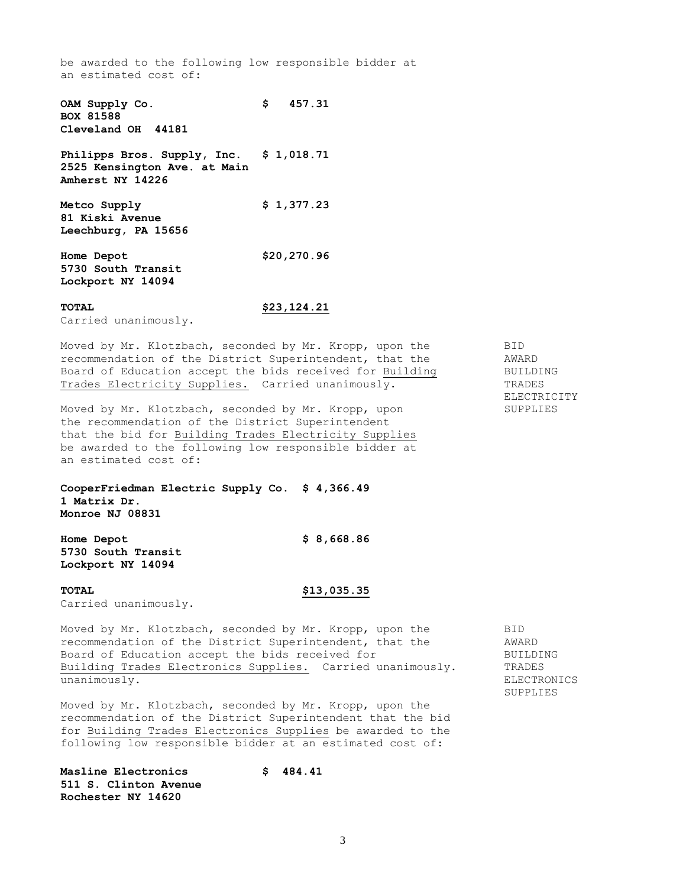be awarded to the following low responsible bidder at an estimated cost of:

**OAM Supply Co. \$ 457.31 BOX 81588 Cleveland OH 44181 Philipps Bros. Supply, Inc. \$ 1,018.71 2525 Kensington Ave. at Main Amherst NY 14226 Metco Supply \$ 1,377.23 81 Kiski Avenue Leechburg, PA 15656 Home Depot \$20,270.96 5730 South Transit Lockport NY 14094**

# **TOTAL \$23,124.21**

Carried unanimously.

Moved by Mr. Klotzbach, seconded by Mr. Kropp, upon the BID recommendation of the District Superintendent, that the AWARD<br>Board of Education accept the bids received for Building BUILDING Board of Education accept the bids received for Building BUILDING<br>Trades Electricity Supplies. Carried unanimously. TRADES Trades Electricity Supplies. Carried unanimously.

Moved by Mr. Klotzbach, seconded by Mr. Kropp, upon SUPPLIES the recommendation of the District Superintendent that the bid for Building Trades Electricity Supplies be awarded to the following low responsible bidder at an estimated cost of:

**CooperFriedman Electric Supply Co. \$ 4,366.49 1 Matrix Dr. Monroe NJ 08831**

**Home Depot \$ 8,668.86 5730 South Transit Lockport NY 14094**

### **TOTAL \$13,035.35**

Carried unanimously.

Moved by Mr. Klotzbach, seconded by Mr. Kropp, upon the BID recommendation of the District Superintendent, that the AWARD Board of Education accept the bids received for Theorem BUILDING Building Trades Electronics Supplies. Carried unanimously. TRADES unanimously. ELECTRONICS

SUPPLIES

Moved by Mr. Klotzbach, seconded by Mr. Kropp, upon the recommendation of the District Superintendent that the bid for Building Trades Electronics Supplies be awarded to the following low responsible bidder at an estimated cost of:

**Masline Electronics \$ 484.41 511 S. Clinton Avenue Rochester NY 14620**

ELECTRICITY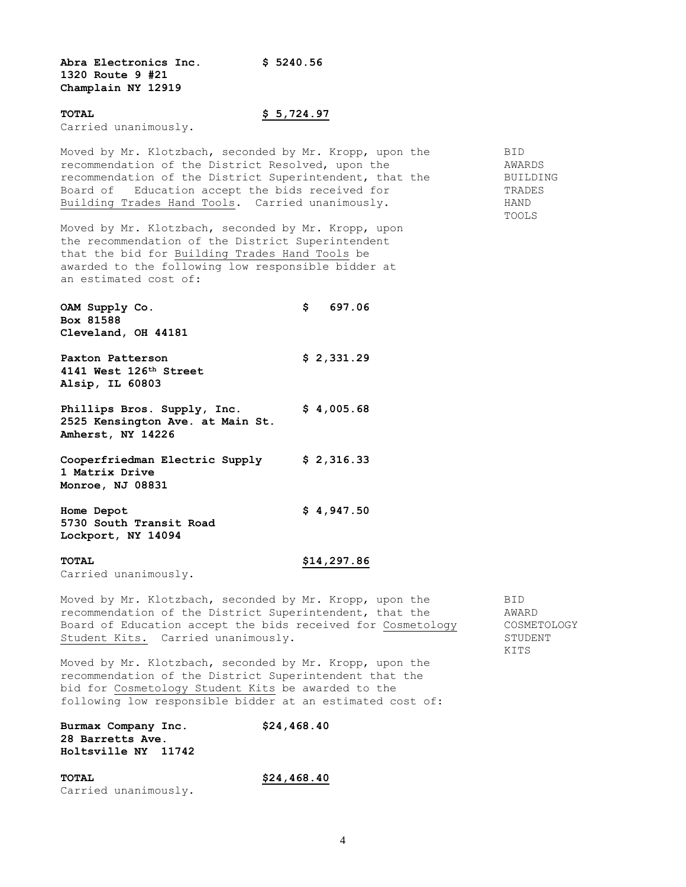**Abra Electronics Inc. \$ 5240.56 1320 Route 9 #21 Champlain NY 12919**

#### **TOTAL \$ 5,724.97**

Carried unanimously.

Moved by Mr. Klotzbach, seconded by Mr. Kropp, upon the BID recommendation of the District Resolved, upon the AWARDS recommendation of the District Superintendent, that the BUILDING Board of Education accept the bids received for TRADES Building Trades Hand Tools. Carried unanimously. HAND

Moved by Mr. Klotzbach, seconded by Mr. Kropp, upon the recommendation of the District Superintendent that the bid for Building Trades Hand Tools be awarded to the following low responsible bidder at an estimated cost of:

**OAM Supply Co. \$ 697.06 Box 81588 Cleveland, OH 44181**

**Paxton Patterson \$ 2,331.29 4141 West 126th Street Alsip, IL 60803**

**Phillips Bros. Supply, Inc. \$ 4,005.68 2525 Kensington Ave. at Main St. Amherst, NY 14226**

**Cooperfriedman Electric Supply \$ 2,316.33 1 Matrix Drive Monroe, NJ 08831**

**Home Depot \$ 4,947.50 5730 South Transit Road Lockport, NY 14094**

**TOTAL \$14,297.86**

Carried unanimously.

Moved by Mr. Klotzbach, seconded by Mr. Kropp, upon the BID recommendation of the District Superintendent, that the  $\sim$  AWARD Board of Education accept the bids received for Cosmetology COSMETOLOGY Student Kits. Carried unanimously. The student STUDENT

Moved by Mr. Klotzbach, seconded by Mr. Kropp, upon the recommendation of the District Superintendent that the bid for Cosmetology Student Kits be awarded to the following low responsible bidder at an estimated cost of:

| Burmax Company Inc.        | \$24,468.40 |
|----------------------------|-------------|
| <b>28 Barretts Ave.</b>    |             |
| <b>Holtsville NY 11742</b> |             |

**TOTAL \$24,468.40** Carried unanimously.

KITS

TOOLS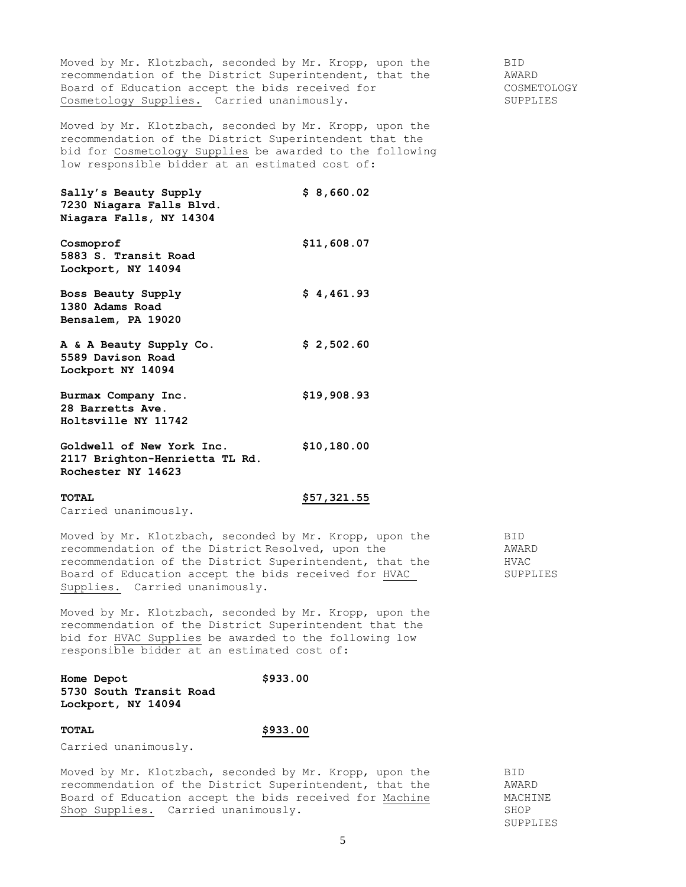Moved by Mr. Klotzbach, seconded by Mr. Kropp, upon the BID recommendation of the District Superintendent, that the AWARD Board of Education accept the bids received for The COSMETOLOGY Cosmetology Supplies. Carried unanimously. The supplies of the supplies

Moved by Mr. Klotzbach, seconded by Mr. Kropp, upon the recommendation of the District Superintendent that the bid for Cosmetology Supplies be awarded to the following low responsible bidder at an estimated cost of:

**Sally's Beauty Supply \$ 8,660.02 7230 Niagara Falls Blvd. Niagara Falls, NY 14304 Cosmoprof \$11,608.07 5883 S. Transit Road Lockport, NY 14094**

**Boss Beauty Supply \$ 4,461.93 1380 Adams Road Bensalem, PA 19020**

**A & A Beauty Supply Co. \$ 2,502.60 5589 Davison Road Lockport NY 14094**

**Burmax Company Inc. \$19,908.93 28 Barretts Ave. Holtsville NY 11742**

**Goldwell of New York Inc. \$10,180.00 2117 Brighton-Henrietta TL Rd. Rochester NY 14623**

# **TOTAL \$57,321.55**

Carried unanimously.

Moved by Mr. Klotzbach, seconded by Mr. Kropp, upon the BID recommendation of the District Resolved, upon the AWARD recommendation of the District Superintendent, that the HVAC Board of Education accept the bids received for HVAC SUPPLIES Supplies. Carried unanimously.

Moved by Mr. Klotzbach, seconded by Mr. Kropp, upon the recommendation of the District Superintendent that the bid for HVAC Supplies be awarded to the following low responsible bidder at an estimated cost of:

**Home Depot \$933.00 5730 South Transit Road Lockport, NY 14094**

### **TOTAL \$933.00**

Carried unanimously.

Moved by Mr. Klotzbach, seconded by Mr. Kropp, upon the BID recommendation of the District Superintendent, that the  $\sim$  AWARD Board of Education accept the bids received for Machine MACHINE Shop Supplies. Carried unanimously. The state of the SHOP

SUPPLIES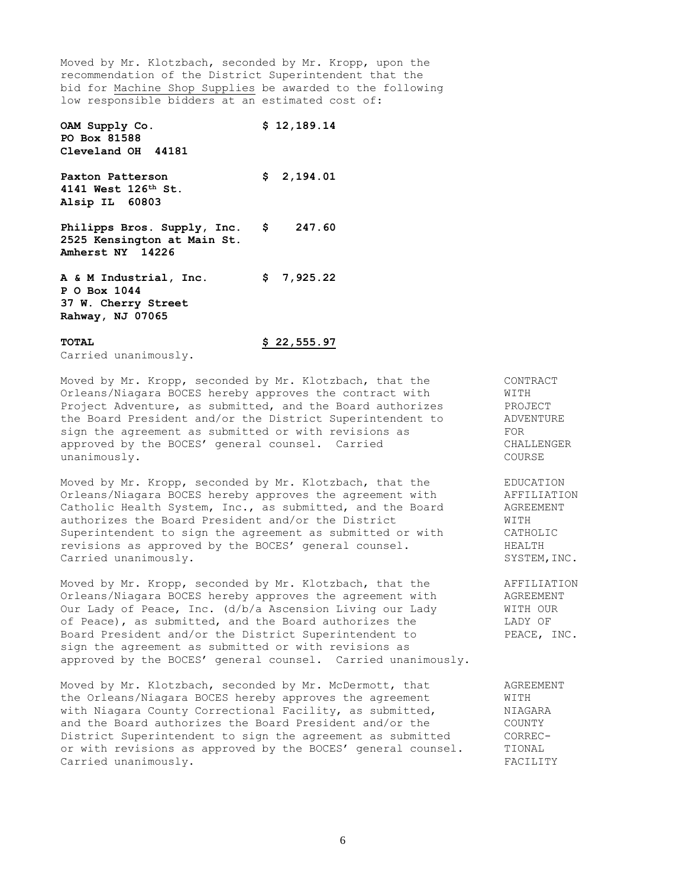Moved by Mr. Klotzbach, seconded by Mr. Kropp, upon the recommendation of the District Superintendent that the bid for Machine Shop Supplies be awarded to the following low responsible bidders at an estimated cost of:

**OAM Supply Co. \$ 12,189.14 PO Box 81588 Cleveland OH 44181 Paxton Patterson \$ 2,194.01 4141 West 126th St. Alsip IL 60803 Philipps Bros. Supply, Inc. \$ 247.60 2525 Kensington at Main St. Amherst NY 14226 A & M Industrial, Inc. \$ 7,925.22**

**P O Box 1044 37 W. Cherry Street Rahway, NJ 07065**

### **TOTAL \$ 22,555.97**

Carried unanimously.

Moved by Mr. Kropp, seconded by Mr. Klotzbach, that the CONTRACT Orleans/Niagara BOCES hereby approves the contract with WITH<br>Project Adventure, as submitted, and the Board authorizes<br>the Board President and/or the District Superintendent to ADVENTURE<br>ADVENTURE Project Adventure, as submitted, and the Board authorizes the Board President and/or the District Superintendent to sign the agreement as submitted or with revisions as approved by the BOCES' general counsel. Carried CHALLENGER unanimously. COURSE

Moved by Mr. Kropp, seconded by Mr. Klotzbach, that the EDUCATION Orleans/Niagara BOCES hereby approves the agreement with aFFILIATION<br>Catholic Health System, Inc., as submitted, and the Board aGREEMENT Catholic Health System, Inc., as submitted, and the Board authorizes the Board President and/or the District WITH Superintendent to sign the agreement as submitted or with CATHOLIC revisions as approved by the BOCES' general counsel. The HEALTH Carried unanimously.  $SYSTEM$ ,  $SYSTEM$ , INC.

Moved by Mr. Kropp, seconded by Mr. Klotzbach, that the AFFILIATION Orleans/Niagara BOCES hereby approves the agreement with  $\overline{A}$  AGREEMENT Our Lady of Peace, Inc. (d/b/a Ascension Living our Lady  $\overline{M}$  MITH OUR Our Lady of Peace, Inc. (d/b/a Ascension Living our Lady of Peace), as submitted, and the Board authorizes the LADY OF Board President and/or the District Superintendent to PEACE, INC. sign the agreement as submitted or with revisions as approved by the BOCES' general counsel. Carried unanimously.

Moved by Mr. Klotzbach, seconded by Mr. McDermott, that AGREEMENT the Orleans/Niagara BOCES hereby approves the agreement WITH with Niagara County Correctional Facility, as submitted,  $NIAGARA$ with Niagara County Correctional Facility, as submitted, and the Board authorizes the Board President and/or the COUNTY District Superintendent to sign the agreement as submitted CORRECor with revisions as approved by the BOCES' general counsel. TIONAL Carried unanimously. FACILITY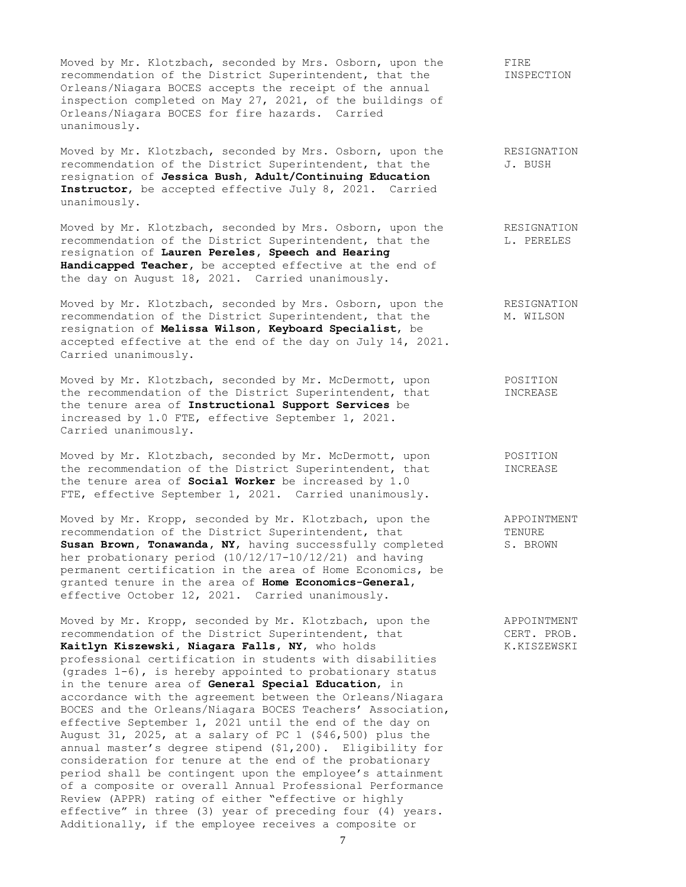Moved by Mr. Klotzbach, seconded by Mrs. Osborn, upon the FIRE recommendation of the District Superintendent, that the INSPECTION Orleans/Niagara BOCES accepts the receipt of the annual inspection completed on May 27, 2021, of the buildings of Orleans/Niagara BOCES for fire hazards. Carried unanimously.

Moved by Mr. Klotzbach, seconded by Mrs. Osborn, upon the RESIGNATION recommendation of the District Superintendent, that the J. BUSH resignation of **Jessica Bush, Adult/Continuing Education Instructor**, be accepted effective July 8, 2021. Carried unanimously.

Moved by Mr. Klotzbach, seconded by Mrs. Osborn, upon the RESIGNATION recommendation of the District Superintendent, that the L. PERELES resignation of **Lauren Pereles, Speech and Hearing Handicapped Teacher,** be accepted effective at the end of the day on August 18, 2021. Carried unanimously.

Moved by Mr. Klotzbach, seconded by Mrs. Osborn, upon the RESIGNATION recommendation of the District Superintendent, that the M. WILSON resignation of **Melissa Wilson, Keyboard Specialist**, be accepted effective at the end of the day on July 14, 2021. Carried unanimously.

Moved by Mr. Klotzbach, seconded by Mr. McDermott, upon POSITION the recommendation of the District Superintendent, that INCREASE the tenure area of **Instructional Support Services** be increased by 1.0 FTE, effective September 1, 2021. Carried unanimously.

Moved by Mr. Klotzbach, seconded by Mr. McDermott, upon POSITION the recommendation of the District Superintendent, that INCREASE the tenure area of **Social Worker** be increased by 1.0 FTE, effective September 1, 2021. Carried unanimously.

Moved by Mr. Kropp, seconded by Mr. Klotzbach, upon the APPOINTMENT recommendation of the District Superintendent, that TENURE Susan Brown, Tonawanda, NY, having successfully completed S. BROWN her probationary period (10/12/17-10/12/21) and having permanent certification in the area of Home Economics, be granted tenure in the area of **Home Economics-General**, effective October 12, 2021. Carried unanimously.

Moved by Mr. Kropp, seconded by Mr. Klotzbach, upon the APPOINTMENT recommendation of the District Superintendent, that CERT. PROB. Kaitlyn Kiszewski, Niagara Falls, NY, who holds K.KISZEWSKI professional certification in students with disabilities (grades 1-6), is hereby appointed to probationary status in the tenure area of **General Special Education**, in accordance with the agreement between the Orleans/Niagara BOCES and the Orleans/Niagara BOCES Teachers' Association, effective September 1, 2021 until the end of the day on August 31, 2025, at a salary of PC 1 (\$46,500) plus the annual master's degree stipend (\$1,200). Eligibility for consideration for tenure at the end of the probationary period shall be contingent upon the employee's attainment of a composite or overall Annual Professional Performance Review (APPR) rating of either "effective or highly effective" in three (3) year of preceding four (4) years. Additionally, if the employee receives a composite or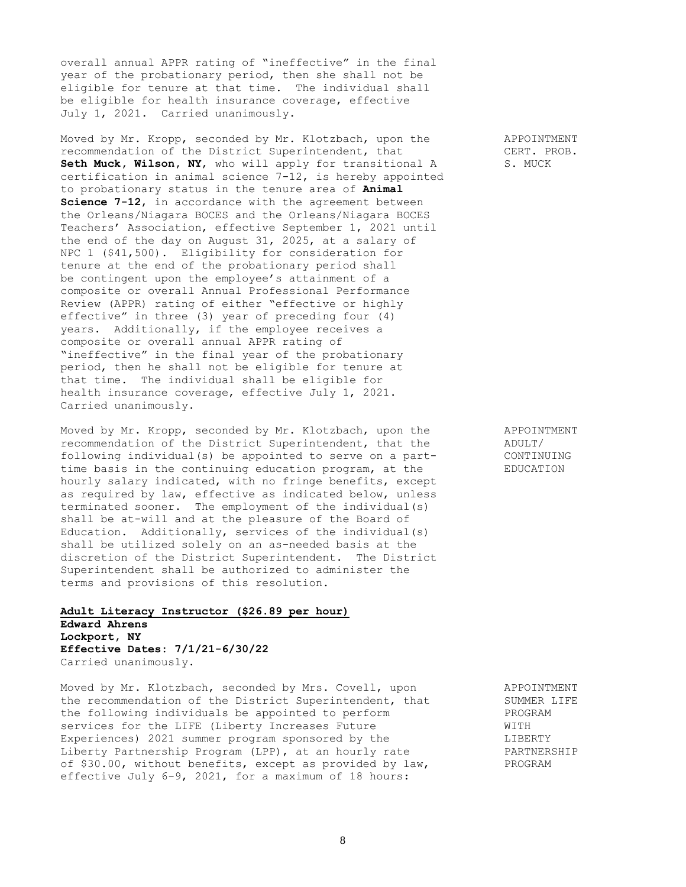overall annual APPR rating of "ineffective" in the final year of the probationary period, then she shall not be eligible for tenure at that time. The individual shall be eligible for health insurance coverage, effective July 1, 2021. Carried unanimously.

Moved by Mr. Kropp, seconded by Mr. Klotzbach, upon the APPOINTMENT recommendation of the District Superintendent, that CERT. PROB. Seth Muck, Wilson, NY, who will apply for transitional A S. MUCK certification in animal science 7-12, is hereby appointed to probationary status in the tenure area of **Animal Science 7-12**, in accordance with the agreement between the Orleans/Niagara BOCES and the Orleans/Niagara BOCES Teachers' Association, effective September 1, 2021 until the end of the day on August 31, 2025, at a salary of NPC 1 (\$41,500). Eligibility for consideration for tenure at the end of the probationary period shall be contingent upon the employee's attainment of a composite or overall Annual Professional Performance Review (APPR) rating of either "effective or highly effective" in three (3) year of preceding four (4) years. Additionally, if the employee receives a composite or overall annual APPR rating of "ineffective" in the final year of the probationary period, then he shall not be eligible for tenure at that time. The individual shall be eligible for health insurance coverage, effective July 1, 2021. Carried unanimously.

Moved by Mr. Kropp, seconded by Mr. Klotzbach, upon the APPOINTMENT<br>recommendation of the District Superintendent, that the ADULT/ recommendation of the District Superintendent, that the following individual(s) be appointed to serve on a part- CONTINUING time basis in the continuing education program, at the EDUCATION hourly salary indicated, with no fringe benefits, except as required by law, effective as indicated below, unless terminated sooner. The employment of the individual(s) shall be at-will and at the pleasure of the Board of Education. Additionally, services of the individual(s) shall be utilized solely on an as-needed basis at the discretion of the District Superintendent. The District Superintendent shall be authorized to administer the terms and provisions of this resolution.

# **Adult Literacy Instructor (\$26.89 per hour) Edward Ahrens Lockport, NY Effective Dates: 7/1/21-6/30/22** Carried unanimously.

Moved by Mr. Klotzbach, seconded by Mrs. Covell, upon APPOINTMENT the recommendation of the District Superintendent, that SUMMER LIFE the following individuals be appointed to perform PROGRAM services for the LIFE (Liberty Increases Future WITH Experiences) 2021 summer program sponsored by the  $LIBERTY$ Liberty Partnership Program (LPP), at an hourly rate **PARTNERSHIP** of \$30.00, without benefits, except as provided by law, PROGRAM effective July 6-9, 2021, for a maximum of 18 hours: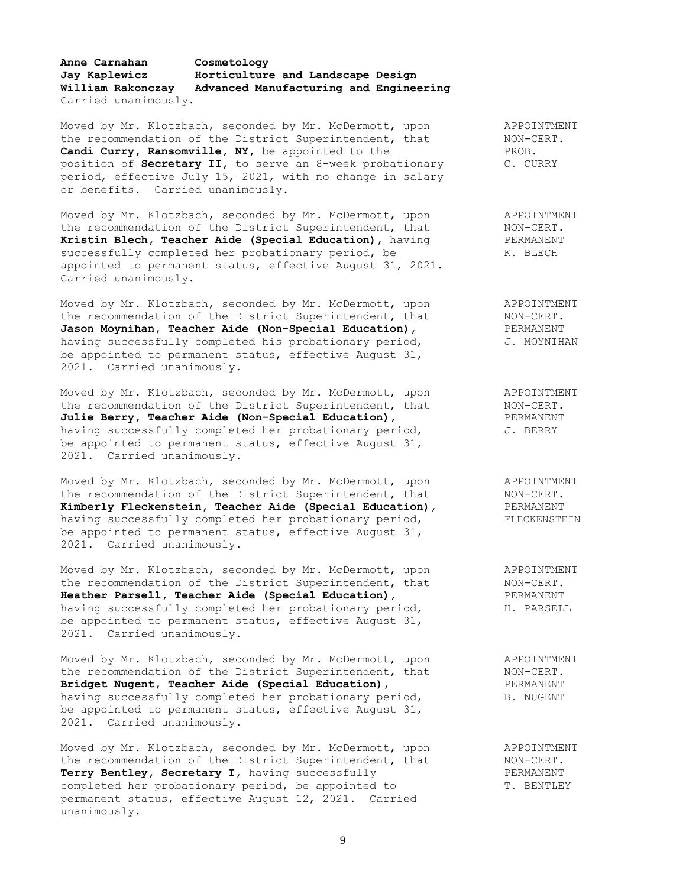### **Anne Carnahan Cosmetology Jay Kaplewicz Horticulture and Landscape Design William Rakonczay Advanced Manufacturing and Engineering** Carried unanimously.

Moved by Mr. Klotzbach, seconded by Mr. McDermott, upon APPOINTMENT the recommendation of the District Superintendent, that MON-CERT. **Candi Curry, Ransomville, NY,** be appointed to the PROB. position of **Secretary II,** to serve an 8-week probationary C. CURRY period, effective July 15, 2021, with no change in salary or benefits. Carried unanimously.

Moved by Mr. Klotzbach, seconded by Mr. McDermott, upon APPOINTMENT the recommendation of the District Superintendent, that MON-CERT. **Kristin Blech, Teacher Aide (Special Education),** having PERMANENT successfully completed her probationary period, be K. BLECH appointed to permanent status, effective August 31, 2021. Carried unanimously.

Moved by Mr. Klotzbach, seconded by Mr. McDermott, upon and APPOINTMENT the recommendation of the District Superintendent, that MON-CERT. **Jason Moynihan, Teacher Aide (Non-Special Education), Some PERMANENT** having successfully completed his probationary period,  $J.$  MOYNIHAN be appointed to permanent status, effective August 31, 2021. Carried unanimously.

Moved by Mr. Klotzbach, seconded by Mr. McDermott, upon APPOINTMENT the recommendation of the District Superintendent, that MON-CERT. Julie Berry, Teacher Aide (Non-Special Education), **PERMANENT** having successfully completed her probationary period,  $J.$  BERRY be appointed to permanent status, effective August 31, 2021. Carried unanimously.

Moved by Mr. Klotzbach, seconded by Mr. McDermott, upon APPOINTMENT the recommendation of the District Superintendent, that MON-CERT. **Kimberly Fleckenstein, Teacher Aide (Special Education),** PERMANENT having successfully completed her probationary period, FLECKENSTEIN be appointed to permanent status, effective August 31, 2021. Carried unanimously.

Moved by Mr. Klotzbach, seconded by Mr. McDermott, upon a APPOINTMENT<br>the recommendation of the District Superintendent, that (ANDI-CERT) the recommendation of the District Superintendent, that MON-CERT. **Heather Parsell, Teacher Aide (Special Education),** PERMANENT having successfully completed her probationary period, The PARSELL be appointed to permanent status, effective August 31, 2021. Carried unanimously.

Moved by Mr. Klotzbach, seconded by Mr. McDermott, upon and APPOINTMENT the recommendation of the District Superintendent, that MON-CERT. **Bridget Nugent, Teacher Aide (Special Education),** PERMANENT having successfully completed her probationary period, B. NUGENT be appointed to permanent status, effective August 31, 2021. Carried unanimously.

Moved by Mr. Klotzbach, seconded by Mr. McDermott, upon APPOINTMENT the recommendation of the District Superintendent, that MON-CERT. Terry Bentley, Secretary I, having successfully **PERMANENT** completed her probationary period, be appointed to T. BENTLEY permanent status, effective August 12, 2021. Carried unanimously.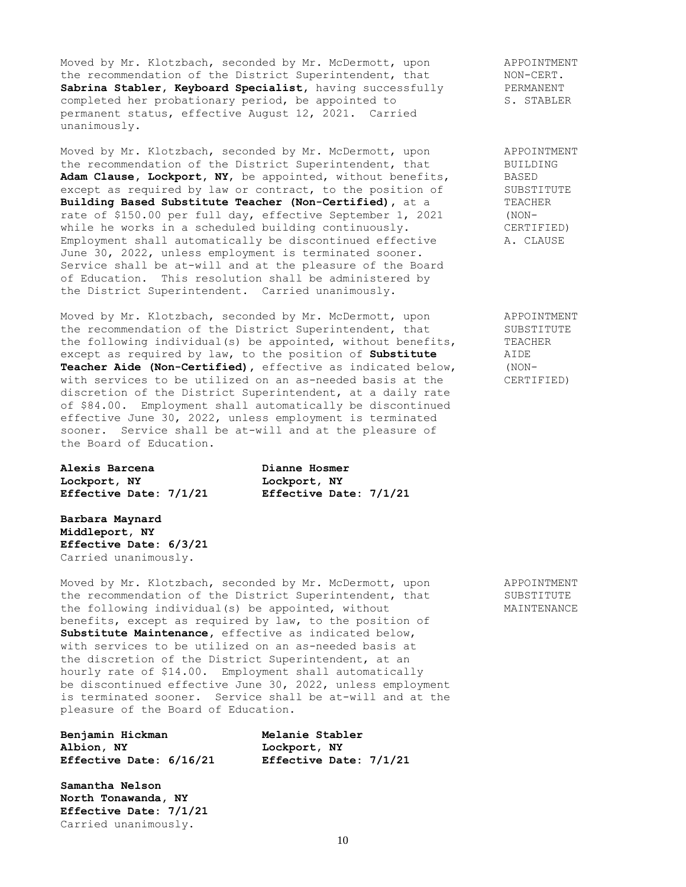Moved by Mr. Klotzbach, seconded by Mr. McDermott, upon a peroinTMENT<br>
the recommendation of the District Superintendent, that MON-CERT. the recommendation of the District Superintendent, that MON-CERT.<br>
Sabrina Stabler, Keyboard Specialist, having successfully PERMANENT Sabrina Stabler, Keyboard Specialist, having successfully completed her probationary period, be appointed to S. STABLER permanent status, effective August 12, 2021. Carried unanimously.

Moved by Mr. Klotzbach, seconded by Mr. McDermott, upon APPOINTMENT the recommendation of the District Superintendent, that BUILDING Adam Clause, Lockport, NY, be appointed, without benefits, BASED<br>except as required by law or contract, to the position of SUBSTITUTE except as required by law or contract, to the position of SUBSTITURE SUBSTITURE SUBSTITURE In the SUBSTITURE SUBSTITURE SUBSTITURE SUBSTITURE SUBSTITURE SUBSTITURE SUBSTITURE SUBSTITURE SUBSTITURE SUBSTITURE SUBSTITURE SUB **Building Based Substitute Teacher (Non-Certified)**, at a rate of \$150.00 per full day, effective September 1, 2021 (NONwhile he works in a scheduled building continuously. CERTIFIED) Employment shall automatically be discontinued effective A. CLAUSE June 30, 2022, unless employment is terminated sooner. Service shall be at-will and at the pleasure of the Board of Education. This resolution shall be administered by the District Superintendent. Carried unanimously.

Moved by Mr. Klotzbach, seconded by Mr. McDermott, upon and APPOINTMENT the recommendation of the District Superintendent, that SUBSTITUTE the following individual(s) be appointed, without benefits, TEACHER except as required by law, to the position of **Substitute** AIDE<br> **Teacher Aide (Non-Certified)**, effective as indicated below, (NON-Teacher Aide (Non-Certified), effective as indicated below, with services to be utilized on an as-needed basis at the CERTIFIED) discretion of the District Superintendent, at a daily rate of \$84.00. Employment shall automatically be discontinued effective June 30, 2022, unless employment is terminated sooner. Service shall be at-will and at the pleasure of the Board of Education.

**Alexis Barcena Dianne Hosmer Lockport, NY Lockport, NY Effective Date: 7/1/21 Effective Date: 7/1/21**

**Barbara Maynard Middleport, NY Effective Date: 6/3/21** Carried unanimously.

Moved by Mr. Klotzbach, seconded by Mr. McDermott, upon APPOINTMENT the recommendation of the District Superintendent, that SUBSTITUTE the following individual(s) be appointed, without MAINTENANCE benefits, except as required by law, to the position of **Substitute Maintenance,** effective as indicated below, with services to be utilized on an as-needed basis at the discretion of the District Superintendent, at an hourly rate of \$14.00. Employment shall automatically be discontinued effective June 30, 2022, unless employment is terminated sooner. Service shall be at-will and at the pleasure of the Board of Education.

| Benjamin Hickman        | Melanie Stabler        |
|-------------------------|------------------------|
| Albion, NY              | Lockport, NY           |
| Effective Date: 6/16/21 | Effective Date: 7/1/21 |

**Samantha Nelson North Tonawanda, NY Effective Date: 7/1/21** Carried unanimously.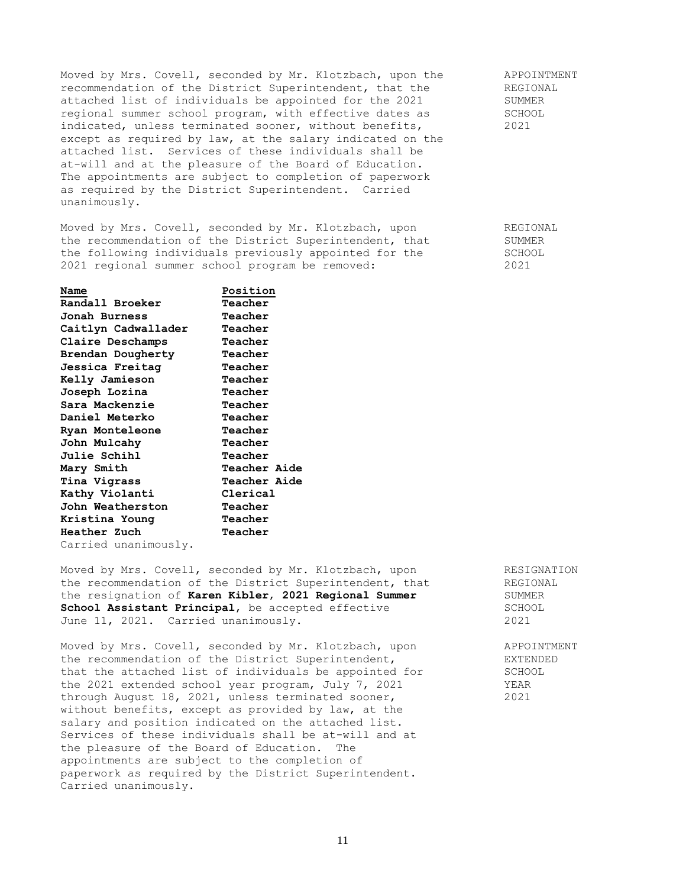Moved by Mrs. Covell, seconded by Mr. Klotzbach, upon the APPOINTMENT<br>recommendation of the District Superintendent, that the REGIONAL recommendation of the District Superintendent, that the REGIONAL attached list of individuals be appointed for the 2021 SUMMER attached list of individuals be appointed for the 2021 SUMMER<br>regional summer school program, with effective dates as SCHOOL regional summer school program, with effective dates as indicated, unless terminated sooner, without benefits, 2021 except as required by law, at the salary indicated on the attached list. Services of these individuals shall be at-will and at the pleasure of the Board of Education. The appointments are subject to completion of paperwork as required by the District Superintendent. Carried unanimously.

Moved by Mrs. Covell, seconded by Mr. Klotzbach, upon REGIONAL the recommendation of the District Superintendent, that SUMMER<br>the following individuals previously appointed for the SCHOOL the following individuals previously appointed for the SCHOOL<br>2021 regional summer school program be removed: 2021 2021 regional summer school program be removed: 2021

| Name                 | Position            |
|----------------------|---------------------|
| Randall Broeker      | Teacher             |
| Jonah Burness        | Teacher             |
| Caitlyn Cadwallader  | Teacher             |
| Claire Deschamps     | Teacher             |
| Brendan Dougherty    | Teacher             |
| Jessica Freitag      | Teacher             |
| Kelly Jamieson       | Teacher             |
| Joseph Lozina        | Teacher             |
| Sara Mackenzie       | Teacher             |
| Daniel Meterko       | Teacher             |
| Ryan Monteleone      | Teacher             |
| John Mulcahy         | Teacher             |
| <b>Julie Schihl</b>  | Teacher             |
| Mary Smith           | <b>Teacher Aide</b> |
| Tina Vigrass         | <b>Teacher Aide</b> |
| Kathy Violanti       | Clerical            |
| John Weatherston     | Teacher             |
| Kristina Young       | Teacher             |
| Heather Zuch         | Teacher             |
| Carried unanimously. |                     |

Moved by Mrs. Covell, seconded by Mr. Klotzbach, upon RESIGNATION the recommendation of the District Superintendent, that REGIONAL the resignation of **Karen Kibler**, **2021 Regional Summer** SUMMER **School Assistant Principal**, be accepted effective SCHOOL June 11, 2021. Carried unanimously. 2021

Moved by Mrs. Covell, seconded by Mr. Klotzbach, upon APPOINTMENT the recommendation of the District Superintendent, EXTENDED that the attached list of individuals be appointed for SCHOOL the 2021 extended school year program, July 7, 2021 YEAR through August 18, 2021, unless terminated sooner, 2021 without benefits, except as provided by law, at the salary and position indicated on the attached list. Services of these individuals shall be at-will and at the pleasure of the Board of Education. The appointments are subject to the completion of paperwork as required by the District Superintendent. Carried unanimously.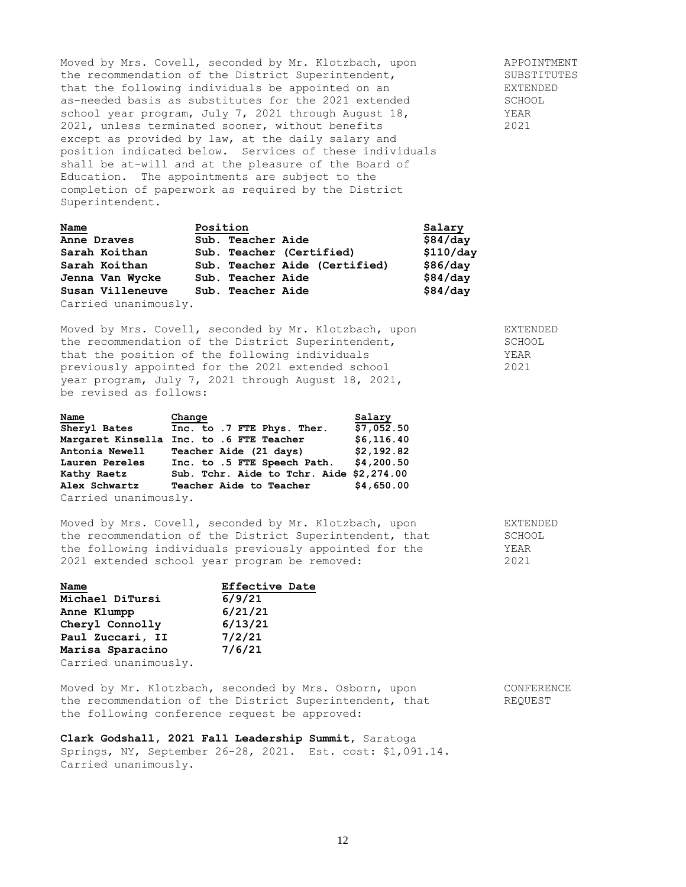Moved by Mrs. Covell, seconded by Mr. Klotzbach, upon and APPOINTMENT the recommendation of the District Superintendent, The SUBSTITUTES that the following individuals be appointed on an The EXTENDED as-needed basis as substitutes for the 2021 extended SCHOOL school year program, July 7, 2021 through August 18, TEAR YEAR<br>2021, unless terminated sooner, without benefits 2021 2021, unless terminated sooner, without benefits 2021 except as provided by law, at the daily salary and position indicated below. Services of these individuals shall be at-will and at the pleasure of the Board of Education. The appointments are subject to the completion of paperwork as required by the District Superintendent.

| Name                 | Position                      | Salary    |
|----------------------|-------------------------------|-----------|
| Anne Draves          | Sub. Teacher Aide             | \$84/day  |
| Sarah Koithan        | Sub. Teacher (Certified)      | \$110/day |
| Sarah Koithan        | Sub. Teacher Aide (Certified) | \$86/day  |
| Jenna Van Wycke      | Sub. Teacher Aide             | \$84/day  |
| Susan Villeneuve     | Sub. Teacher Aide             | \$84/day  |
| Carried unanimously. |                               |           |

Moved by Mrs. Covell, seconded by Mr. Klotzbach, upon EXTENDED the recommendation of the District Superintendent, SCHOOL that the position of the following individuals YEAR previously appointed for the 2021 extended school 2021 year program, July 7, 2021 through August 18, 2021, be revised as follows:

| Name                 | Change                                   | Salary     |
|----------------------|------------------------------------------|------------|
| Sheryl Bates         | Inc. to .7 FTE Phys. Ther.               | \$7,052.50 |
|                      | Margaret Kinsella Inc. to .6 FTE Teacher | \$6,116.40 |
| Antonia Newell       | Teacher Aide (21 days)                   | \$2,192.82 |
| Lauren Pereles       | Inc. to .5 FTE Speech Path.              | \$4,200.50 |
| Kathy Raetz          | Sub. Tchr. Aide to Tchr. Aide \$2,274.00 |            |
| Alex Schwartz        | Teacher Aide to Teacher                  | \$4,650.00 |
| Carried unanimously. |                                          |            |

Moved by Mrs. Covell, seconded by Mr. Klotzbach, upon EXTENDED the recommendation of the District Superintendent, that SCHOOL the following individuals previously appointed for the YEAR 2021 extended school year program be removed: 2021

| Name                 | <b>Effective Date</b> |
|----------------------|-----------------------|
| Michael DiTursi      | 6/9/21                |
| Anne Klumpp          | 6/21/21               |
| Cheryl Connolly      | 6/13/21               |
| Paul Zuccari, II     | 7/2/21                |
| Marisa Sparacino     | 7/6/21                |
| Carried unanimously. |                       |

Moved by Mr. Klotzbach, seconded by Mrs. Osborn, upon CONFERENCE the recommendation of the District Superintendent, that REQUEST the following conference request be approved:

**Clark Godshall, 2021 Fall Leadership Summit,** Saratoga Springs, NY, September 26-28, 2021. Est. cost: \$1,091.14. Carried unanimously.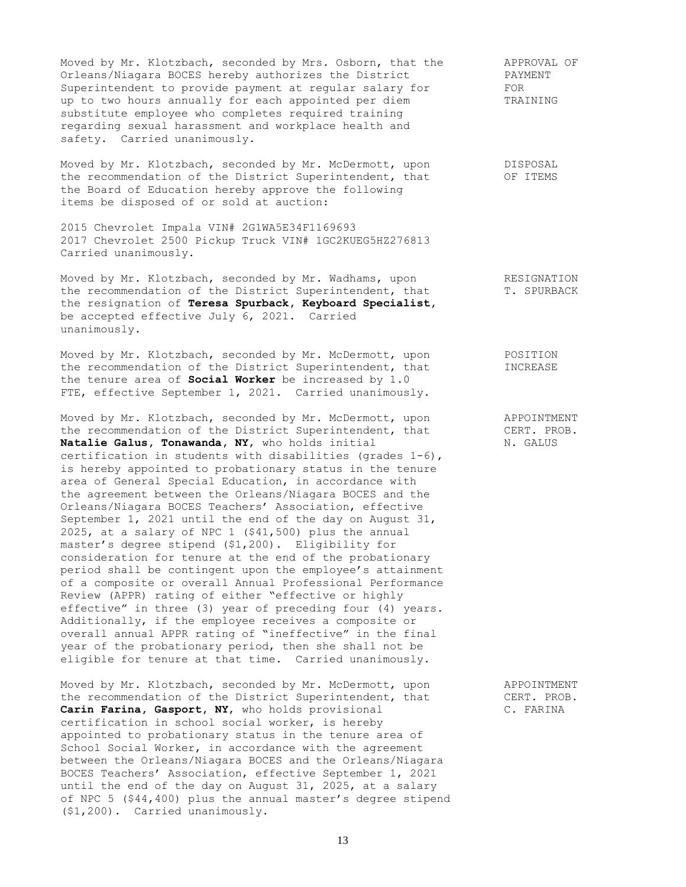Moved by Mr. Klotzbach, seconded by Mrs. Osborn, that the APPROVAL OF Orleans/Niagara BOCES hereby authorizes the District The APPROVAL OF Orleans/Niagara BOCES hereby authorizes the District The PAYM<br>Superintendent to provide payment at regular salary for FOR Superintendent to provide payment at regular salary for FOR<br>up to two hours annually for each appointed per diem TRAINING up to two hours annually for each appointed per diem substitute employee who completes required training regarding sexual harassment and workplace health and safety. Carried unanimously.

Moved by Mr. Klotzbach, seconded by Mr. McDermott, upon DISPOSAL the recommendation of the District Superintendent, that OF ITEMS the Board of Education hereby approve the following items be disposed of or sold at auction:

2015 Chevrolet Impala VIN# 2G1WA5E34F1169693 2017 Chevrolet 2500 Pickup Truck VIN# 1GC2KUEG5HZ276813 Carried unanimously.

Moved by Mr. Klotzbach, seconded by Mr. Wadhams, upon RESIGNATION the recommendation of the District Superintendent, that T. SPURBACK the resignation of **Teresa Spurback, Keyboard Specialist,** be accepted effective July 6, 2021. Carried unanimously.

Moved by Mr. Klotzbach, seconded by Mr. McDermott, upon POSITION the recommendation of the District Superintendent, that INCREASE the tenure area of **Social Worker** be increased by 1.0 FTE, effective September 1, 2021. Carried unanimously.

Moved by Mr. Klotzbach, seconded by Mr. McDermott, upon APPOINTMENT the recommendation of the District Superintendent, that CERT. PROB.<br> **Natalie Galus, Tonawanda, NY**, who holds initial M. GALUS Natalie Galus, Tonawanda, NY, who holds initial certification in students with disabilities (grades 1-6), is hereby appointed to probationary status in the tenure area of General Special Education, in accordance with the agreement between the Orleans/Niagara BOCES and the Orleans/Niagara BOCES Teachers' Association, effective September 1, 2021 until the end of the day on August 31, 2025, at a salary of NPC 1 (\$41,500) plus the annual master's degree stipend (\$1,200). Eligibility for consideration for tenure at the end of the probationary period shall be contingent upon the employee's attainment of a composite or overall Annual Professional Performance Review (APPR) rating of either "effective or highly effective" in three (3) year of preceding four (4) years. Additionally, if the employee receives a composite or overall annual APPR rating of "ineffective" in the final year of the probationary period, then she shall not be eligible for tenure at that time. Carried unanimously.

Moved by Mr. Klotzbach, seconded by Mr. McDermott, upon APPOINTMENT the recommendation of the District Superintendent, that CERT. PROB. **Carin Farina, Gasport, NY,** who holds provisional C. FARINA certification in school social worker, is hereby appointed to probationary status in the tenure area of School Social Worker, in accordance with the agreement between the Orleans/Niagara BOCES and the Orleans/Niagara BOCES Teachers' Association, effective September 1, 2021 until the end of the day on August 31, 2025, at a salary of NPC 5 (\$44,400) plus the annual master's degree stipend (\$1,200). Carried unanimously.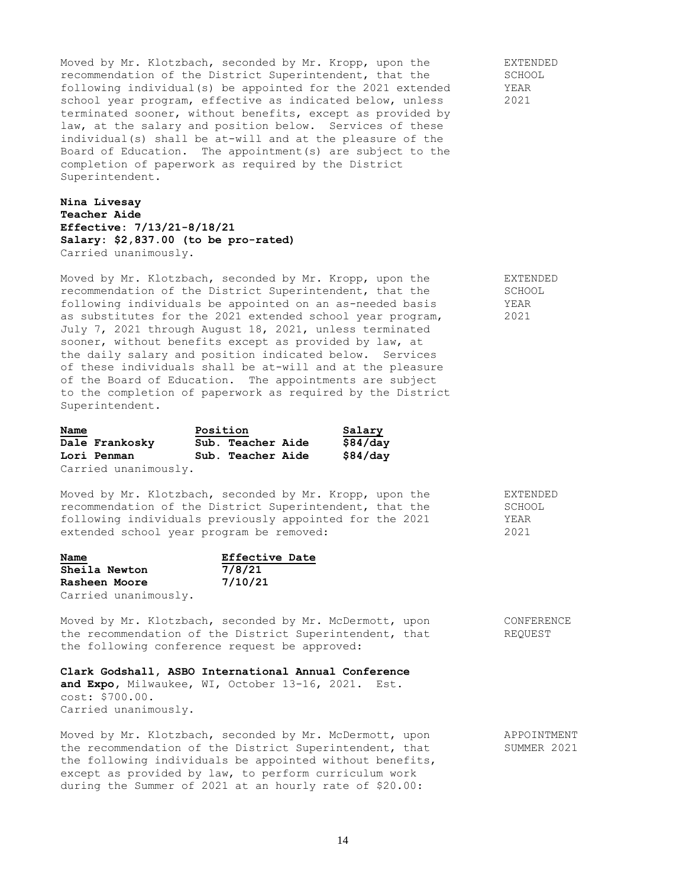Moved by Mr. Klotzbach, seconded by Mr. Kropp, upon the EXTENDED recommendation of the District Superintendent, that the SCHOOL<br>following individual(s) be appointed for the 2021 extended YEAR following individual(s) be appointed for the  $2021$  extended school year program, effective as indicated below, unless 2021 terminated sooner, without benefits, except as provided by law, at the salary and position below. Services of these individual(s) shall be at-will and at the pleasure of the Board of Education. The appointment(s) are subject to the completion of paperwork as required by the District Superintendent.

**Nina Livesay Teacher Aide Effective: 7/13/21-8/18/21 Salary: \$2,837.00 (to be pro-rated)** Carried unanimously.

Moved by Mr. Klotzbach, seconded by Mr. Kropp, upon the EXTENDED recommendation of the District Superintendent, that the SCHOOL recommendation of the District Superintendent, that the following individuals be appointed on an as-needed basis YEAR as substitutes for the 2021 extended school year program, 2021 July 7, 2021 through August 18, 2021, unless terminated sooner, without benefits except as provided by law, at the daily salary and position indicated below. Services of these individuals shall be at-will and at the pleasure of the Board of Education. The appointments are subject to the completion of paperwork as required by the District Superintendent.

| Name |                      | Position |                   | Salary   |
|------|----------------------|----------|-------------------|----------|
|      | Dale Frankosky       |          | Sub. Teacher Aide | \$84/day |
|      | Lori Penman          |          | Sub. Teacher Aide | \$84/day |
|      | Carried unanimously. |          |                   |          |

Moved by Mr. Klotzbach, seconded by Mr. Kropp, upon the EXTENDED recommendation of the District Superintendent, that the SCHOOL following individuals previously appointed for the 2021 YEAR extended school year program be removed: 2021

| Name          |                      | Effective Date |  |
|---------------|----------------------|----------------|--|
| Sheila Newton |                      | 7/8/21         |  |
| Rasheen Moore |                      | 7/10/21        |  |
|               | Carried unanimously. |                |  |

Moved by Mr. Klotzbach, seconded by Mr. McDermott, upon CONFERENCE the recommendation of the District Superintendent, that REQUEST the following conference request be approved:

#### **Clark Godshall, ASBO International Annual Conference**

**and Expo,** Milwaukee, WI, October 13-16, 2021. Est. cost: \$700.00. Carried unanimously.

Moved by Mr. Klotzbach, seconded by Mr. McDermott, upon APPOINTMENT the recommendation of the District Superintendent, that SUMMER 2021 the following individuals be appointed without benefits, except as provided by law, to perform curriculum work during the Summer of 2021 at an hourly rate of \$20.00: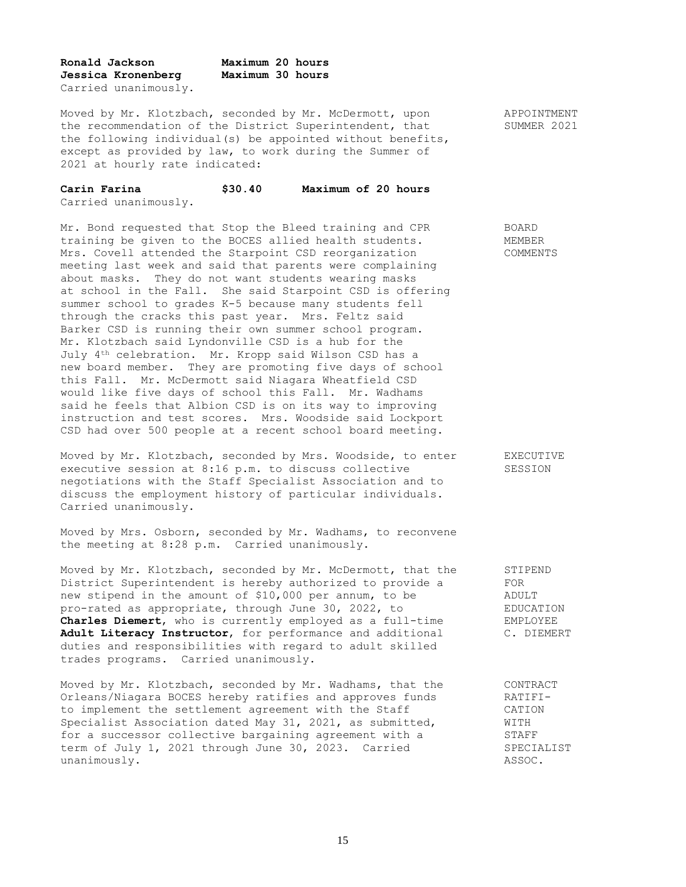| Ronald Jackson |                      | Maximum 20 hours |  |
|----------------|----------------------|------------------|--|
|                | Jessica Kronenberg   | Maximum 30 hours |  |
|                | Carried unanimously. |                  |  |

Moved by Mr. Klotzbach, seconded by Mr. McDermott, upon APPOINTMENT the recommendation of the District Superintendent, that SUMMER 2021 the following individual(s) be appointed without benefits, except as provided by law, to work during the Summer of 2021 at hourly rate indicated:

| Carin Farina |                      | \$30.40 | Maximum of 20 hours |  |  |
|--------------|----------------------|---------|---------------------|--|--|
|              | Carried unanimously. |         |                     |  |  |

Mr. Bond requested that Stop the Bleed training and CPR BOARD training be given to the BOCES allied health students. MEMBER Mrs. Covell attended the Starpoint CSD reorganization COMMENTS meeting last week and said that parents were complaining about masks. They do not want students wearing masks at school in the Fall. She said Starpoint CSD is offering summer school to grades K-5 because many students fell through the cracks this past year. Mrs. Feltz said Barker CSD is running their own summer school program. Mr. Klotzbach said Lyndonville CSD is a hub for the July 4th celebration. Mr. Kropp said Wilson CSD has a new board member. They are promoting five days of school this Fall. Mr. McDermott said Niagara Wheatfield CSD would like five days of school this Fall. Mr. Wadhams said he feels that Albion CSD is on its way to improving instruction and test scores. Mrs. Woodside said Lockport CSD had over 500 people at a recent school board meeting.

Moved by Mr. Klotzbach, seconded by Mrs. Woodside, to enter EXECUTIVE executive session at 8:16 p.m. to discuss collective SESSION negotiations with the Staff Specialist Association and to discuss the employment history of particular individuals. Carried unanimously.

Moved by Mrs. Osborn, seconded by Mr. Wadhams, to reconvene the meeting at 8:28 p.m. Carried unanimously.

Moved by Mr. Klotzbach, seconded by Mr. McDermott, that the STIPEND District Superintendent is hereby authorized to provide a FOR new stipend in the amount of \$10,000 per annum, to be ADULT<br>pro-rated as appropriate, through June 30, 2022, to BDUCATION pro-rated as appropriate, through June 30, 2022, to **Charles Diemert**, who is currently employed as a full-time EMPLOYEE **Adult Literacy Instructor**, for performance and additional C. DIEMERT duties and responsibilities with regard to adult skilled trades programs. Carried unanimously.

Moved by Mr. Klotzbach, seconded by Mr. Wadhams, that the CONTRACT Orleans/Niagara BOCES hereby ratifies and approves funds RATIFIto implement the settlement agreement with the Staff CATION Specialist Association dated May 31, 2021, as submitted, WITH for a successor collective bargaining agreement with a STAFF term of July 1, 2021 through June 30, 2023. Carried SPECIALIST unanimously. ASSOC.